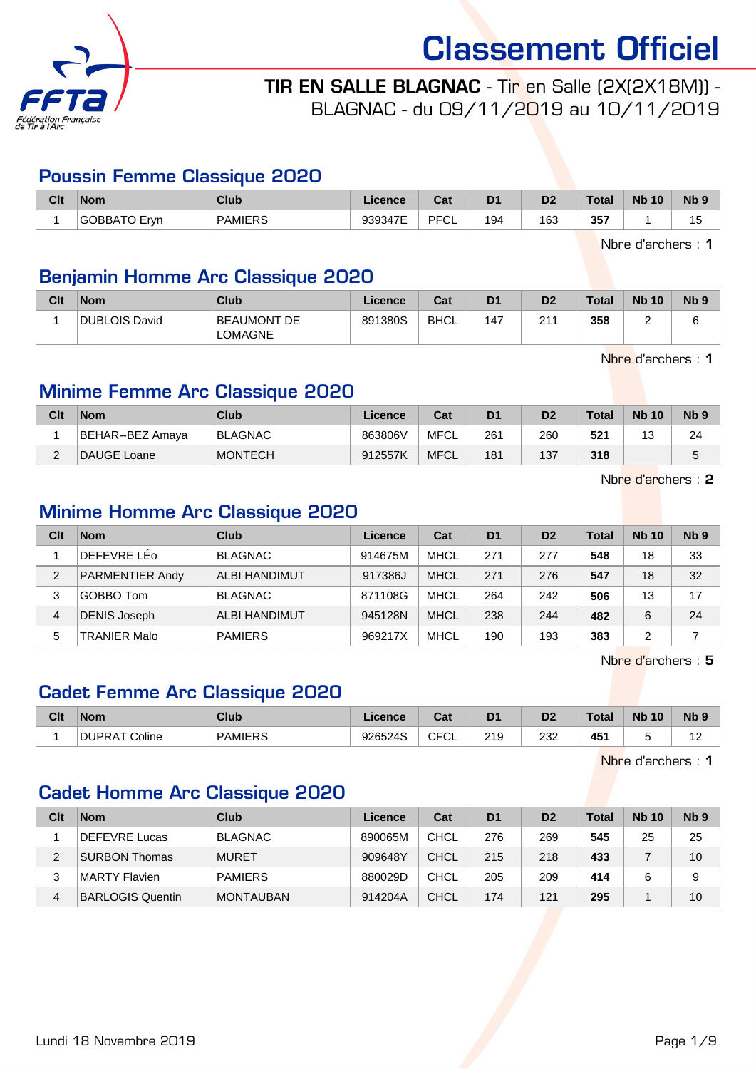

TIR EN SALLE BLAGNAC - Tir en Salle (2X(2X18M)) - BLAGNAC - du 09/11/2019 au 10/11/2019

#### Poussin Femme Classique 2020

| Clt | <b>Nom</b>                  | Club           | Licence | $\sim$<br>ual     | D <sub>1</sub> | D <sub>2</sub> | Total | <b>N<sub>b</sub></b><br>10 | N <sub>b</sub> <sub>9</sub> |
|-----|-----------------------------|----------------|---------|-------------------|----------------|----------------|-------|----------------------------|-----------------------------|
|     | ` <sup>∽</sup> Frvn<br>)BBA | <b>PAMIERS</b> | 939347E | <b>DECI</b><br>◡∟ | 194            | 163            | 357   |                            | ں ،                         |

Nbre d'archers : 1

# Benjamin Homme Arc Classique 2020

| Clt | <b>Nom</b>           | Club                          | Licence | Cat         | D <sub>1</sub> | D <sub>2</sub> | <b>Total</b> | <b>Nb 10</b> | <b>N<sub>b</sub></b> |
|-----|----------------------|-------------------------------|---------|-------------|----------------|----------------|--------------|--------------|----------------------|
|     | <b>DUBLOIS David</b> | BEAUMONT DE<br><b>LOMAGNE</b> | 891380S | <b>BHCL</b> | 147            | 211            | 358          |              |                      |

Nbre d'archers : 1

# Minime Femme Arc Classique 2020

| Clt | <b>Nom</b>       | Club           | Licence | Cat         | D <sub>1</sub> | D2  | Total | <b>Nb 10</b> | N <sub>b</sub> <sub>9</sub> |
|-----|------------------|----------------|---------|-------------|----------------|-----|-------|--------------|-----------------------------|
|     | BEHAR--BEZ Amaya | <b>BLAGNAC</b> | 863806V | MFCL        | 261            | 260 | 521   | J            | 24                          |
| ⌒   | DAUGE Loane      | <b>MONTECH</b> | 912557K | <b>MFCL</b> | 181            | 137 | 318   |              | ີ                           |

Nbre d'archers : 2

# Minime Homme Arc Classique 2020

| Clt | <b>Nom</b>             | Club                 | Licence | Cat         | D <sub>1</sub> | D <sub>2</sub> | Total | <b>Nb 10</b> | Nb <sub>9</sub> |
|-----|------------------------|----------------------|---------|-------------|----------------|----------------|-------|--------------|-----------------|
|     | DEFEVRE LEO            | <b>BLAGNAC</b>       | 914675M | MHCL        | 271            | 277            | 548   | 18           | 33              |
| 2   | <b>PARMENTIER Andy</b> | <b>ALBI HANDIMUT</b> | 917386J | <b>MHCL</b> | 271            | 276            | 547   | 18           | 32              |
| 3   | GOBBO Tom              | <b>BLAGNAC</b>       | 871108G | MHCL        | 264            | 242            | 506   | 13           | 17              |
| 4   | <b>DENIS Joseph</b>    | <b>ALBI HANDIMUT</b> | 945128N | <b>MHCL</b> | 238            | 244            | 482   | 6            | 24              |
| 5   | TRANIER Malo           | <b>PAMIERS</b>       | 969217X | MHCL        | 190            | 193            | 383   |              |                 |

Nbre d'archers : 5

# Cadet Femme Arc Classique 2020

| Clt | <b>Nom</b>           | Club           | Licence | <b>Date</b><br>ual         | D <sub>1</sub> | D <sub>2</sub> | Total | <b>N<sub>b</sub></b><br>10 | N <sub>b</sub> <sub>9</sub> |
|-----|----------------------|----------------|---------|----------------------------|----------------|----------------|-------|----------------------------|-----------------------------|
|     | <b>DUPRAT Coline</b> | <b>PAMIERS</b> | 926524S | $\sim$ $\sim$<br>◡┍<br>ັບ∟ | 219            | מממ<br>∠د∠     | 451   |                            | A C                         |

Nbre d'archers : 1

# Cadet Homme Arc Classique 2020

| Clt | <b>Nom</b>              | Club             | Licence | Cat  | D <sub>1</sub> | D <sub>2</sub> | <b>Total</b> | <b>Nb 10</b> | N <sub>b</sub> <sub>9</sub> |
|-----|-------------------------|------------------|---------|------|----------------|----------------|--------------|--------------|-----------------------------|
|     | DEFEVRE Lucas           | <b>BLAGNAC</b>   | 890065M | CHCL | 276            | 269            | 545          | 25           | 25                          |
| 2   | <b>SURBON Thomas</b>    | <b>MURET</b>     | 909648Y | CHCL | 215            | 218            | 433          |              | 10                          |
| 3   | MARTY Flavien           | <b>PAMIERS</b>   | 880029D | CHCL | 205            | 209            | 414          |              | 9                           |
| 4   | <b>BARLOGIS Quentin</b> | <b>MONTAUBAN</b> | 914204A | CHCL | 174            | 121            | 295          |              | 10                          |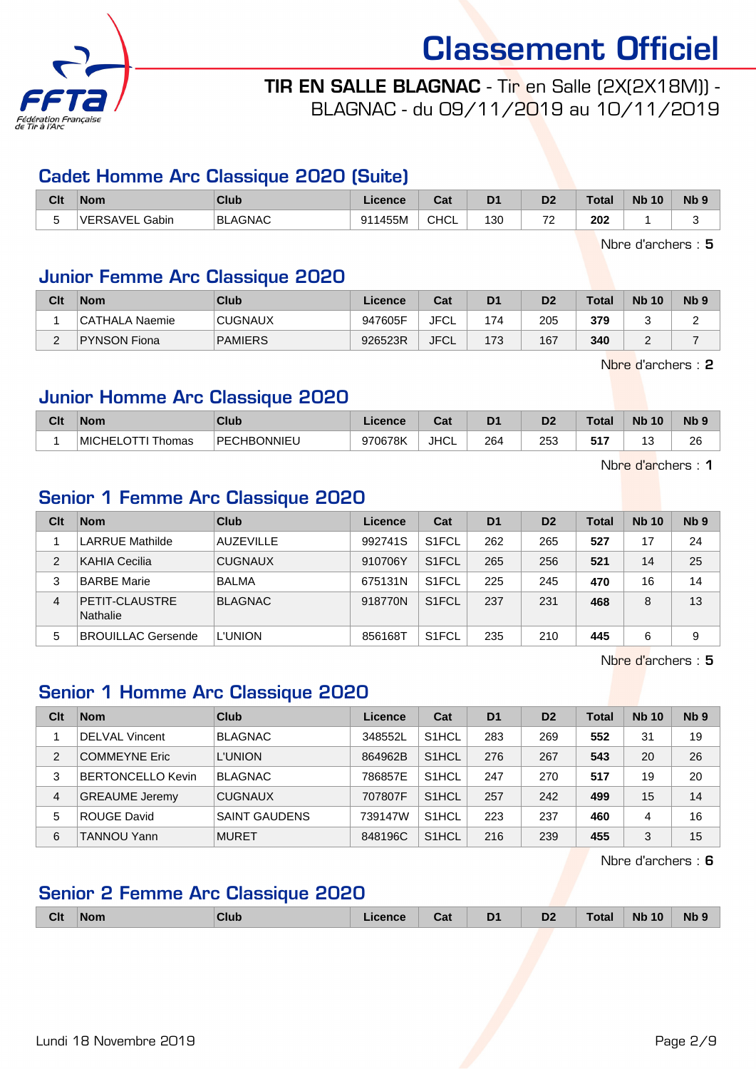

# TIR EN SALLE BLAGNAC - Tir en Salle (2X(2X18M)) - BLAGNAC - du 09/11/2019 au 10/11/2019

### Cadet Homme Arc Classique 2020 (Suite)

| Clt | <b>Nom</b>        | Club           | Licence      | ו ה<br>∍aı  | D <sub>1</sub> | D <sub>2</sub>           | <b>Total</b>         | <b>Nb 10</b> | <b>Nb</b> |
|-----|-------------------|----------------|--------------|-------------|----------------|--------------------------|----------------------|--------------|-----------|
| -   | Gabin<br>VERSAVEL | <b>BLAGNAC</b> | 1455M<br>Q11 | <b>CHCL</b> | 130            | $\overline{\phantom{a}}$ | 202<br>$\sim$ $\sim$ |              |           |

Nbre d'archers : 5

# Junior Femme Arc Classique 2020

| Clt | <b>Nom</b>          | Club           | Licence | Cat         | D <sub>1</sub> | D <sub>2</sub> | <b>Total</b> | <b>Nb 10</b> | N <sub>b</sub> <sub>9</sub> |
|-----|---------------------|----------------|---------|-------------|----------------|----------------|--------------|--------------|-----------------------------|
|     | CATHALA Naemie      | <b>CUGNAUX</b> | 947605F | <b>JFCL</b> | 174            | 205            | 379          |              |                             |
|     | <b>PYNSON Fiona</b> | <b>PAMIERS</b> | 926523R | JFCL        | 173            | 167            | 340          |              |                             |

Nbre d'archers : 2

### Junior Homme Arc Classique 2020

| Clt | <b>Nom</b>               | Club        | icence  | ◠fi<br>va.  | D <sub>1</sub> | D <sub>2</sub> | Total | <b>N<sub>b</sub></b><br>10 | <b>N<sub>b</sub></b> |
|-----|--------------------------|-------------|---------|-------------|----------------|----------------|-------|----------------------------|----------------------|
|     | <b>MICHEL</b><br>l homas | PECHBONNIEU | 970678K | <b>JHCL</b> | 264            | 253<br>- -     | E 4 F | -<br>u                     | 26                   |

Nbre d'archers : 1

# Senior 1 Femme Arc Classique 2020

| Clt | <b>Nom</b>                 | Club             | Licence | Cat                | D <sub>1</sub> | D <sub>2</sub> | Total | <b>Nb 10</b> | Nb <sub>9</sub> |
|-----|----------------------------|------------------|---------|--------------------|----------------|----------------|-------|--------------|-----------------|
|     | <b>LARRUE Mathilde</b>     | <b>AUZEVILLE</b> | 992741S | S <sub>1</sub> FCL | 262            | 265            | 527   | 17           | 24              |
| 2   | KAHIA Cecilia              | <b>CUGNAUX</b>   | 910706Y | S <sub>1</sub> FCL | 265            | 256            | 521   | 14           | 25              |
| 3   | <b>BARBE Marie</b>         | <b>BALMA</b>     | 675131N | S <sub>1</sub> FCL | 225            | 245            | 470   | 16           | 14              |
| 4   | PETIT-CLAUSTRE<br>Nathalie | <b>BLAGNAC</b>   | 918770N | S <sub>1</sub> FCL | 237            | 231            | 468   | 8            | 13              |
| 5   | <b>BROUILLAC Gersende</b>  | <b>L'UNION</b>   | 856168T | S <sub>1</sub> FCL | 235            | 210            | 445   | 6            | 9               |

Nbre d'archers : 5

# Senior 1 Homme Arc Classique 2020

| Clt | <b>Nom</b>               | Club                 | Licence | Cat                | D <sub>1</sub> | D <sub>2</sub> | Total | <b>Nb 10</b> | N <sub>b</sub> <sub>9</sub> |
|-----|--------------------------|----------------------|---------|--------------------|----------------|----------------|-------|--------------|-----------------------------|
|     | <b>DELVAL Vincent</b>    | <b>BLAGNAC</b>       | 348552L | S <sub>1</sub> HCL | 283            | 269            | 552   | 31           | 19                          |
| 2   | <b>COMMEYNE Eric</b>     | <b>L'UNION</b>       | 864962B | S <sub>1</sub> HCL | 276            | 267            | 543   | 20           | 26                          |
| 3   | <b>BERTONCELLO Kevin</b> | <b>BLAGNAC</b>       | 786857E | S <sub>1</sub> HCL | 247            | 270            | 517   | 19           | 20                          |
| 4   | <b>GREAUME Jeremy</b>    | <b>CUGNAUX</b>       | 707807F | S <sub>1</sub> HCL | 257            | 242            | 499   | 15           | 14                          |
| 5   | <b>ROUGE David</b>       | <b>SAINT GAUDENS</b> | 739147W | S <sub>1</sub> HCL | 223            | 237            | 460   | 4            | 16                          |
| 6   | TANNOU Yann              | <b>MURET</b>         | 848196C | S <sub>1</sub> HCL | 216            | 239            | 455   | 3            | 15                          |

Nbre d'archers : 6

# Senior 2 Femme Arc Classique 2020

| <b>Clt</b> | <b>Nom</b> | Club | .icence | ו הי<br>ual | D <sub>1</sub><br>- - | D <sub>2</sub> | <b>Total</b> | <b>Nb 10</b> | <b>Nb</b> |
|------------|------------|------|---------|-------------|-----------------------|----------------|--------------|--------------|-----------|
|            |            |      |         |             |                       |                |              |              |           |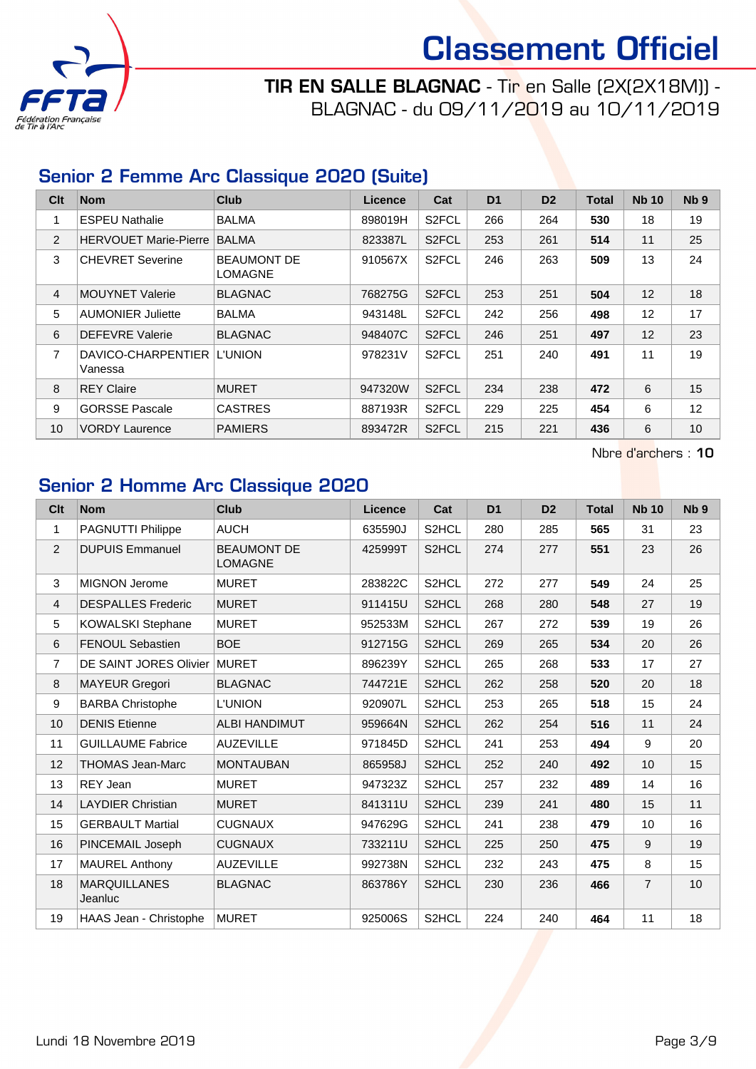

TIR EN SALLE BLAGNAC - Tir en Salle (2X(2X18M)) - BLAGNAC - du 09/11/2019 au 10/11/2019

# Senior 2 Femme Arc Classique 2020 (Suite)

| Clt            | <b>Nom</b>                            | Club                                 | <b>Licence</b> | Cat                | D <sub>1</sub> | D <sub>2</sub> | Total | <b>Nb 10</b> | N <sub>b</sub> <sub>9</sub> |
|----------------|---------------------------------------|--------------------------------------|----------------|--------------------|----------------|----------------|-------|--------------|-----------------------------|
| 1              | <b>ESPEU Nathalie</b>                 | <b>BALMA</b>                         | 898019H        | S <sub>2</sub> FCL | 266            | 264            | 530   | 18           | 19                          |
| $\overline{2}$ | <b>HERVOUET Marie-Pierre</b>          | <b>BALMA</b>                         | 823387L        | S <sub>2</sub> FCL | 253            | 261            | 514   | 11           | 25                          |
| 3              | <b>CHEVRET Severine</b>               | <b>BEAUMONT DE</b><br><b>LOMAGNE</b> | 910567X        | S <sub>2</sub> FCL | 246            | 263            | 509   | 13           | 24                          |
| 4              | <b>MOUYNET Valerie</b>                | <b>BLAGNAC</b>                       | 768275G        | S <sub>2</sub> FCL | 253            | 251            | 504   | 12           | 18                          |
| 5              | <b>AUMONIER Juliette</b>              | <b>BALMA</b>                         | 943148L        | S <sub>2</sub> FCL | 242            | 256            | 498   | 12           | 17                          |
| 6              | <b>DEFEVRE Valerie</b>                | <b>BLAGNAC</b>                       | 948407C        | S <sub>2</sub> FCL | 246            | 251            | 497   | 12           | 23                          |
| $\overline{7}$ | DAVICO-CHARPENTIER L'UNION<br>Vanessa |                                      | 978231V        | S <sub>2</sub> FCL | 251            | 240            | 491   | 11           | 19                          |
| 8              | <b>REY Claire</b>                     | <b>MURET</b>                         | 947320W        | S <sub>2</sub> FCL | 234            | 238            | 472   | 6            | 15                          |
| 9              | <b>GORSSE Pascale</b>                 | <b>CASTRES</b>                       | 887193R        | S <sub>2</sub> FCL | 229            | 225            | 454   | 6            | 12                          |
| 10             | <b>VORDY Laurence</b>                 | <b>PAMIERS</b>                       | 893472R        | S <sub>2</sub> FCL | 215            | 221            | 436   | 6            | 10                          |

Nbre d'archers : 10

# Senior 2 Homme Arc Classique 2020

| Clt              | <b>Nom</b>                     | <b>Club</b>                          | <b>Licence</b> | Cat                | D <sub>1</sub> | D <sub>2</sub> | <b>Total</b> | <b>Nb 10</b>   | N <sub>b</sub> <sub>9</sub> |
|------------------|--------------------------------|--------------------------------------|----------------|--------------------|----------------|----------------|--------------|----------------|-----------------------------|
| $\mathbf{1}$     | PAGNUTTI Philippe              | <b>AUCH</b>                          | 635590J        | S2HCL              | 280            | 285            | 565          | 31             | 23                          |
| $\overline{2}$   | <b>DUPUIS Emmanuel</b>         | <b>BEAUMONT DE</b><br><b>LOMAGNE</b> | 425999T        | S2HCL              | 274            | 277            | 551          | 23             | 26                          |
| 3                | <b>MIGNON Jerome</b>           | <b>MURET</b>                         | 283822C        | S2HCL              | 272            | 277            | 549          | 24             | 25                          |
| 4                | <b>DESPALLES Frederic</b>      | <b>MURET</b>                         | 911415U        | S <sub>2</sub> HCL | 268            | 280            | 548          | 27             | 19                          |
| 5                | <b>KOWALSKI Stephane</b>       | <b>MURET</b>                         | 952533M        | S2HCL              | 267            | 272            | 539          | 19             | 26                          |
| 6                | <b>FENOUL Sebastien</b>        | <b>BOE</b>                           | 912715G        | S2HCL              | 269            | 265            | 534          | 20             | 26                          |
| $\overline{7}$   | DE SAINT JORES Olivier         | <b>MURET</b>                         | 896239Y        | S2HCL              | 265            | 268            | 533          | 17             | 27                          |
| 8                | <b>MAYEUR Gregori</b>          | <b>BLAGNAC</b>                       | 744721E        | S <sub>2</sub> HCL | 262            | 258            | 520          | 20             | 18                          |
| $\boldsymbol{9}$ | <b>BARBA Christophe</b>        | <b>L'UNION</b>                       | 920907L        | S2HCL              | 253            | 265            | 518          | 15             | 24                          |
| 10               | <b>DENIS Etienne</b>           | <b>ALBI HANDIMUT</b>                 | 959664N        | S2HCL              | 262            | 254            | 516          | 11             | 24                          |
| 11               | <b>GUILLAUME Fabrice</b>       | <b>AUZEVILLE</b>                     | 971845D        | S2HCL              | 241            | 253            | 494          | 9              | 20                          |
| 12               | <b>THOMAS Jean-Marc</b>        | <b>MONTAUBAN</b>                     | 865958J        | S <sub>2</sub> HCL | 252            | 240            | 492          | 10             | 15                          |
| 13               | REY Jean                       | <b>MURET</b>                         | 947323Z        | S2HCL              | 257            | 232            | 489          | 14             | 16                          |
| 14               | <b>LAYDIER Christian</b>       | <b>MURET</b>                         | 841311U        | S <sub>2</sub> HCL | 239            | 241            | 480          | 15             | 11                          |
| 15               | <b>GERBAULT Martial</b>        | <b>CUGNAUX</b>                       | 947629G        | S2HCL              | 241            | 238            | 479          | 10             | 16                          |
| 16               | PINCEMAIL Joseph               | <b>CUGNAUX</b>                       | 733211U        | S <sub>2</sub> HCL | 225            | 250            | 475          | 9              | 19                          |
| 17               | <b>MAUREL Anthony</b>          | <b>AUZEVILLE</b>                     | 992738N        | S2HCL              | 232            | 243            | 475          | 8              | 15                          |
| 18               | <b>MARQUILLANES</b><br>Jeanluc | <b>BLAGNAC</b>                       | 863786Y        | S2HCL              | 230            | 236            | 466          | $\overline{7}$ | 10                          |
| 19               | HAAS Jean - Christophe         | <b>MURET</b>                         | 925006S        | S2HCL              | 224            | 240            | 464          | 11             | 18                          |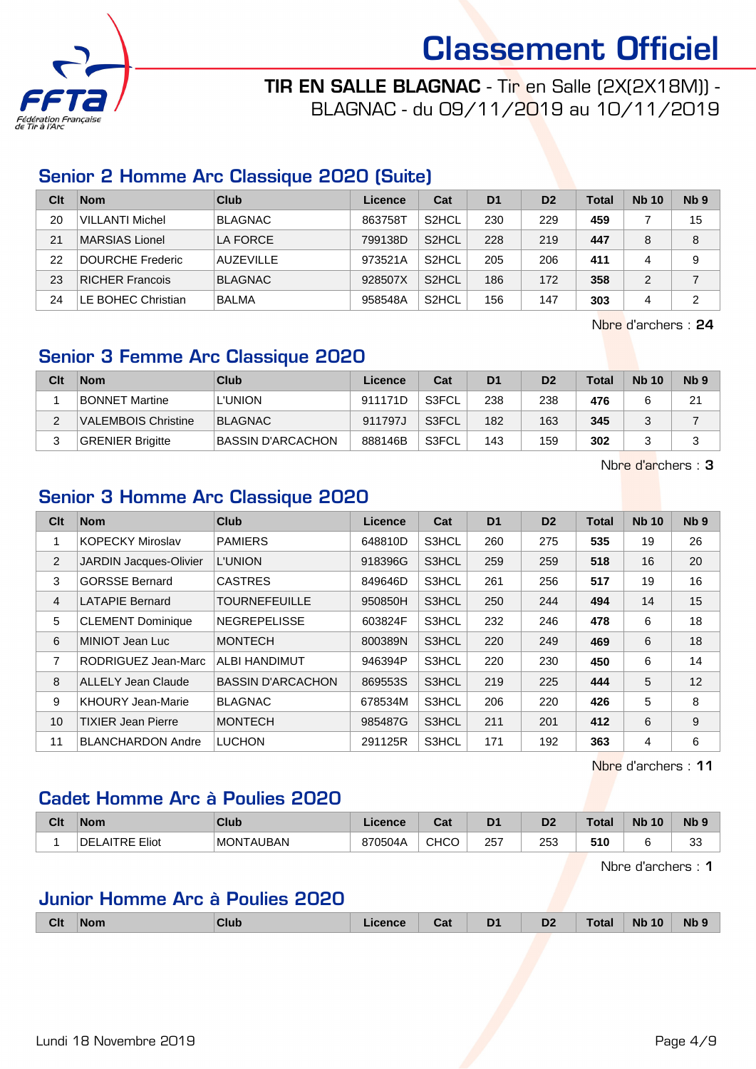

TIR EN SALLE BLAGNAC - Tir en Salle (2X(2X18M)) - BLAGNAC - du 09/11/2019 au 10/11/2019

# Senior 2 Homme Arc Classique 2020 (Suite)

| Clt | <b>Nom</b>             | Club             | Licence | Cat                | D <sub>1</sub> | D <sub>2</sub> | <b>Total</b> | <b>Nb 10</b> | Nb <sub>9</sub> |
|-----|------------------------|------------------|---------|--------------------|----------------|----------------|--------------|--------------|-----------------|
| 20  | <b>VILLANTI Michel</b> | <b>BLAGNAC</b>   | 863758T | S <sub>2</sub> HCL | 230            | 229            | 459          |              | 15              |
| 21  | MARSIAS Lionel         | LA FORCE         | 799138D | S <sub>2</sub> HCL | 228            | 219            | 447          | 8            | 8               |
| 22  | DOURCHE Frederic       | <b>AUZEVILLE</b> | 973521A | S <sub>2</sub> HCL | 205            | 206            | 411          |              | 9               |
| 23  | RICHER Francois        | <b>BLAGNAC</b>   | 928507X | S <sub>2</sub> HCL | 186            | 172            | 358          | 2            |                 |
| 24  | LE BOHEC Christian     | BALMA            | 958548A | S <sub>2</sub> HCL | 156            | 147            | 303          | 4            | 2               |

Nbre d'archers : 24

# Senior 3 Femme Arc Classique 2020

| Clt | <b>Nom</b>                 | Club                     | Licence | Cat          | D <sub>1</sub> | D <sub>2</sub> | Total | <b>Nb 10</b> | Nb <sub>9</sub> |
|-----|----------------------------|--------------------------|---------|--------------|----------------|----------------|-------|--------------|-----------------|
|     | <b>BONNET Martine</b>      | <b>L'UNION</b>           | 911171D | S3FCL        | 238            | 238            | 476   |              | 21              |
|     | <b>VALEMBOIS Christine</b> | BLAGNAC                  | 911797J | S3FCL        | 182            | 163            | 345   |              |                 |
|     | <b>GRENIER Brigitte</b>    | <b>BASSIN D'ARCACHON</b> | 888146B | <b>S3FCL</b> | 143            | 159            | 302   |              |                 |

Nbre d'archers : 3

# Senior 3 Homme Arc Classique 2020

| Clt            | <b>Nom</b>                | <b>Club</b>              | <b>Licence</b> | Cat   | D <sub>1</sub> | D <sub>2</sub> | <b>Total</b> | <b>Nb 10</b> | N <sub>b</sub> <sub>9</sub> |
|----------------|---------------------------|--------------------------|----------------|-------|----------------|----------------|--------------|--------------|-----------------------------|
|                | <b>KOPECKY Miroslav</b>   | <b>PAMIERS</b>           | 648810D        | S3HCL | 260            | 275            | 535          | 19           | 26                          |
| 2              | JARDIN Jacques-Olivier    | <b>L'UNION</b>           | 918396G        | S3HCL | 259            | 259            | 518          | 16           | 20                          |
| 3              | <b>GORSSE Bernard</b>     | <b>CASTRES</b>           | 849646D        | S3HCL | 261            | 256            | 517          | 19           | 16                          |
| $\overline{4}$ | <b>LATAPIE Bernard</b>    | <b>TOURNEFEUILLE</b>     | 950850H        | S3HCL | 250            | 244            | 494          | 14           | 15                          |
| 5              | <b>CLEMENT Dominique</b>  | <b>NEGREPELISSE</b>      | 603824F        | S3HCL | 232            | 246            | 478          | 6            | 18                          |
| 6              | MINIOT Jean Luc           | <b>MONTECH</b>           | 800389N        | S3HCL | 220            | 249            | 469          | 6            | 18                          |
| 7              | RODRIGUEZ Jean-Marc       | <b>ALBI HANDIMUT</b>     | 946394P        | S3HCL | 220            | 230            | 450          | 6            | 14                          |
| 8              | <b>ALLELY Jean Claude</b> | <b>BASSIN D'ARCACHON</b> | 869553S        | S3HCL | 219            | 225            | 444          | 5            | 12                          |
| 9              | <b>KHOURY Jean-Marie</b>  | <b>BLAGNAC</b>           | 678534M        | S3HCL | 206            | 220            | 426          | 5            | 8                           |
| 10             | <b>TIXIER Jean Pierre</b> | <b>MONTECH</b>           | 985487G        | S3HCL | 211            | 201            | 412          | 6            | 9                           |
| 11             | <b>BLANCHARDON Andre</b>  | <b>LUCHON</b>            | 291125R        | S3HCL | 171            | 192            | 363          | 4            | 6                           |

Nbre d'archers : 11

# Cadet Homme Arc à Poulies 2020

| Clt | <b>Nom</b>                | Club                  | Licence | ∩~'<br>ual | D <sub>1</sub> | D <sub>2</sub> | `otal | <b>N<sub>b</sub></b><br>10 | $Nb$ ?       |
|-----|---------------------------|-----------------------|---------|------------|----------------|----------------|-------|----------------------------|--------------|
|     | DE<br>DE.<br>Eliot<br>ור. | <b>MONT</b><br>rauban | 870504A | CHCC       | 257            | つにつ<br>∠ວວ     | 510   |                            | $\sim$<br>ັບ |

Nbre d'archers : 1

# Junior Homme Arc à Poulies 2020

| - - | <b>Clt</b><br><b>Club</b><br><b>Nom</b> | icence | Cat | D <sub>1</sub> | D <sub>2</sub> | Total | <b>Nb</b><br>10 | <b>Nb</b> |
|-----|-----------------------------------------|--------|-----|----------------|----------------|-------|-----------------|-----------|
|-----|-----------------------------------------|--------|-----|----------------|----------------|-------|-----------------|-----------|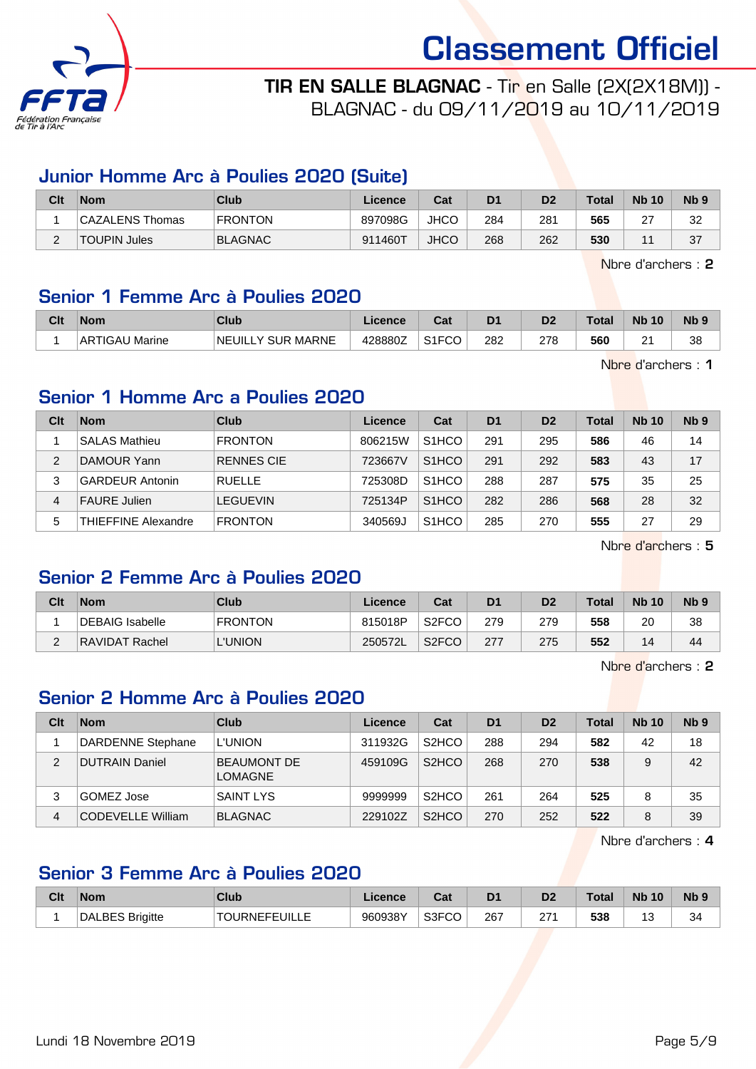

TIR EN SALLE BLAGNAC - Tir en Salle (2X(2X18M)) - BLAGNAC - du 09/11/2019 au 10/11/2019

### Junior Homme Arc à Poulies 2020 (Suite)

| Clt      | <b>Nom</b>          | Club           | Licence | Cat         | D <sub>1</sub> | D <sub>2</sub> | <b>Total</b> | <b>Nb 10</b> | Nb 9 |
|----------|---------------------|----------------|---------|-------------|----------------|----------------|--------------|--------------|------|
|          | CAZALENS Thomas     | <b>FRONTON</b> | 897098G | <b>JHCC</b> | 284            | 281            | 565          | $\sim$<br>∠  | 32   |
| <u>_</u> | <b>TOUPIN Jules</b> | <b>BLAGNAC</b> | 911460T | <b>JHCO</b> | 268            | 262            | 530          |              | 37   |

Nbre d'archers : 2

# Senior 1 Femme Arc à Poulies 2020

| Clt | Nom               | Club                         | <b>Licence</b> | Cost <sub>o</sub><br>⊍aι | D <sub>1</sub> | D <sub>2</sub> | Total | <b>N<sub>b</sub></b><br>10 | Nb <sub>9</sub> |
|-----|-------------------|------------------------------|----------------|--------------------------|----------------|----------------|-------|----------------------------|-----------------|
|     | Marine<br>ARTIGAU | LY SUR MARNE<br><b>NEUIL</b> | 428880Z        | S <sub>1</sub> FCO       | 282            | 278            | 560   | n.<br>-                    | 38              |

Nbre d'archers : 1

# Senior 1 Homme Arc a Poulies 2020

| Clt | <b>Nom</b>             | Club              | Licence | Cat                | D <sub>1</sub> | D <sub>2</sub> | <b>Total</b> | <b>Nb 10</b> | N <sub>b</sub> <sub>9</sub> |
|-----|------------------------|-------------------|---------|--------------------|----------------|----------------|--------------|--------------|-----------------------------|
|     | <b>SALAS Mathieu</b>   | <b>FRONTON</b>    | 806215W | S <sub>1</sub> HCO | 291            | 295            | 586          | 46           | 14                          |
| 2   | DAMOUR Yann            | <b>RENNES CIE</b> | 723667V | S <sub>1</sub> HCO | 291            | 292            | 583          | 43           | 17                          |
| 3   | <b>GARDEUR Antonin</b> | <b>RUELLE</b>     | 725308D | S <sub>1</sub> HCO | 288            | 287            | 575          | 35           | 25                          |
| 4   | <b>FAURE Julien</b>    | <b>LEGUEVIN</b>   | 725134P | S <sub>1</sub> HCO | 282            | 286            | 568          | 28           | 32                          |
| 5   | THIEFFINE Alexandre    | <b>FRONTON</b>    | 340569J | S <sub>1</sub> HCO | 285            | 270            | 555          | 27           | 29                          |

Nbre d'archers : 5

# Senior 2 Femme Arc à Poulies 2020

| Clt | <b>Nom</b>      | Club            | Licence | Cat                | D <sub>1</sub> | D <sub>2</sub> | Total | <b>Nb 10</b> | N <sub>b</sub> <sub>9</sub> |
|-----|-----------------|-----------------|---------|--------------------|----------------|----------------|-------|--------------|-----------------------------|
|     | DEBAIG Isabelle | <b>FRONTON</b>  | 815018P | S <sub>2</sub> FCO | 279            | 279            | 558   | 20           | 38                          |
| ⌒   | RAVIDAT Rachel  | <b>'.'UNION</b> | 250572L | S <sub>2</sub> FCO | 277            | 275            | 552   | 14           | 44                          |

Nbre d'archers : 2

# Senior 2 Homme Arc à Poulies 2020

| Clt | <b>Nom</b>               | Club                                 | Licence | Cat                | D <sub>1</sub> | D <sub>2</sub> | Total | <b>Nb 10</b> | Nb <sub>9</sub> |
|-----|--------------------------|--------------------------------------|---------|--------------------|----------------|----------------|-------|--------------|-----------------|
|     | DARDENNE Stephane        | <b>L'UNION</b>                       | 311932G | S <sub>2</sub> HCO | 288            | 294            | 582   | 42           | 18              |
| 2   | <b>DUTRAIN Daniel</b>    | <b>BEAUMONT DE</b><br><b>LOMAGNE</b> | 459109G | S <sub>2</sub> HCO | 268            | 270            | 538   | 9            | 42              |
| 3   | GOMEZ Jose               | <b>SAINT LYS</b>                     | 9999999 | S <sub>2</sub> HCO | 261            | 264            | 525   | 8            | 35              |
| 4   | <b>CODEVELLE William</b> | <b>BLAGNAC</b>                       | 229102Z | S <sub>2</sub> HCO | 270            | 252            | 522   | 8            | 39              |

Nbre d'archers : 4

# Senior 3 Femme Arc à Poulies 2020

| Clt | <b>Nom</b>             | <b>Club</b>   | Licence | ∩~∙<br>⊍aι | D <sub>1</sub> | D <sub>2</sub> | <b>Total</b> | <b>Nb 10</b> | <b>N<sub>b</sub></b> |
|-----|------------------------|---------------|---------|------------|----------------|----------------|--------------|--------------|----------------------|
|     | <b>DALBES Brigitte</b> | TOURNEFEUILLE | 960938Y | S3FCO      | 267            | 27.<br>21      | 538          | ັ            | 34                   |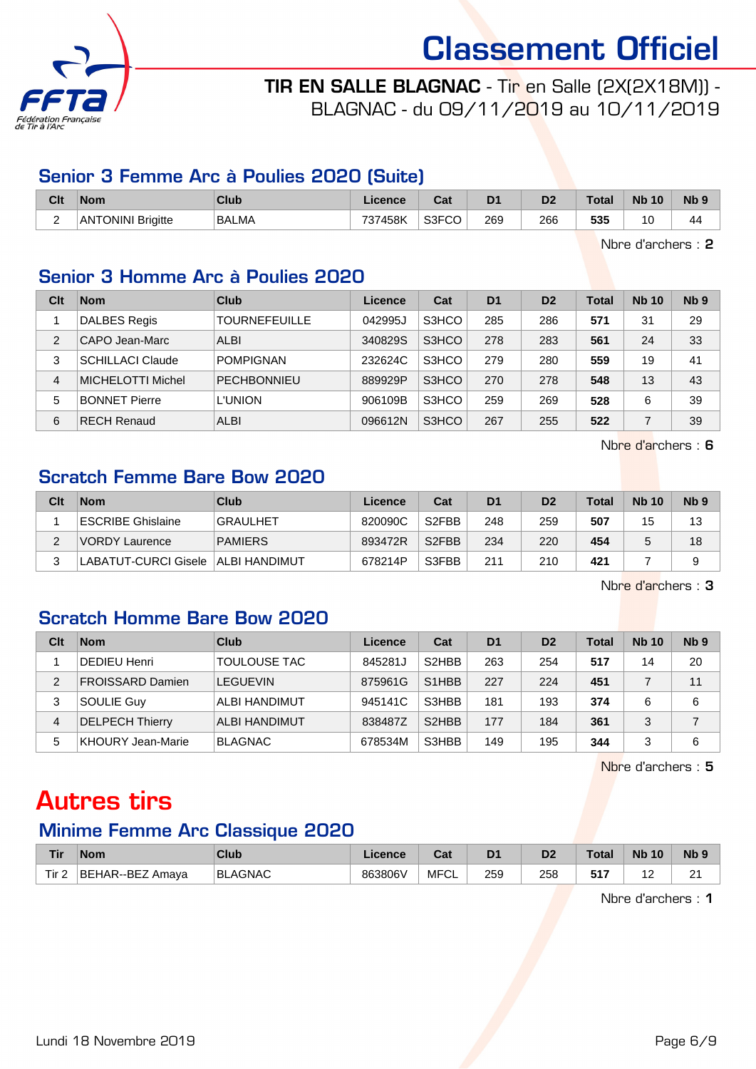

# TIR EN SALLE BLAGNAC - Tir en Salle (2X(2X18M)) - BLAGNAC - du 09/11/2019 au 10/11/2019

### Senior 3 Femme Arc à Poulies 2020 (Suite)

| Clt           | <b>Nom</b>               | Club         | <b>Licence</b> | ่ ี่ ี่ ่า+<br>ual | D <sub>1</sub> | D <sub>2</sub> | <b>Total</b> | <b>Nb 10</b> | <b>N<sub>b</sub></b> |
|---------------|--------------------------|--------------|----------------|--------------------|----------------|----------------|--------------|--------------|----------------------|
| ∽<br><u>.</u> | <b>ANTONINI Brigitte</b> | <b>BALMA</b> | 737458K        | S3FCO              | 269<br>- -     | 266<br>__      | 535          | 0            | 44                   |

Nbre d'archers : 2

# Senior 3 Homme Arc à Poulies 2020

| Clt | <b>Nom</b>              | Club                 | Licence | Cat   | D <sub>1</sub> | D <sub>2</sub> | <b>Total</b> | <b>Nb 10</b> | N <sub>b</sub> <sub>9</sub> |
|-----|-------------------------|----------------------|---------|-------|----------------|----------------|--------------|--------------|-----------------------------|
|     | <b>DALBES Regis</b>     | <b>TOURNEFEUILLE</b> | 042995J | S3HCO | 285            | 286            | 571          | 31           | 29                          |
| 2   | CAPO Jean-Marc          | <b>ALBI</b>          | 340829S | S3HCO | 278            | 283            | 561          | 24           | 33                          |
| 3   | <b>SCHILLACI Claude</b> | <b>POMPIGNAN</b>     | 232624C | S3HCO | 279            | 280            | 559          | 19           | 41                          |
| 4   | MICHELOTTI Michel       | <b>PECHBONNIEU</b>   | 889929P | S3HCO | 270            | 278            | 548          | 13           | 43                          |
| 5   | <b>BONNET Pierre</b>    | L'UNION              | 906109B | S3HCO | 259            | 269            | 528          | 6            | 39                          |
| 6   | <b>RECH Renaud</b>      | <b>ALBI</b>          | 096612N | S3HCO | 267            | 255            | 522          |              | 39                          |

Nbre d'archers : 6

# Scratch Femme Bare Bow 2020

| Clt | <b>Nom</b>            | Club            | Licence | Cat                | D <sub>1</sub> | D <sub>2</sub> | <b>Total</b> | <b>Nb 10</b> | N <sub>b</sub> <sub>9</sub> |
|-----|-----------------------|-----------------|---------|--------------------|----------------|----------------|--------------|--------------|-----------------------------|
|     | ESCRIBE Ghislaine     | <b>GRAULHET</b> | 820090C | S <sub>2</sub> FBB | 248            | 259            | 507          | 15           | 13                          |
| ົ   | <b>NORDY Laurence</b> | <b>PAMIERS</b>  | 893472R | S <sub>2</sub> FBB | 234            | 220            | 454          |              | 18                          |
| ົ   | LABATUT-CURCI Gisele  | ALBI HANDIMUT   | 678214P | S3FBB              | 211            | 210            | 421          |              | a                           |

Nbre d'archers : 3

# Scratch Homme Bare Bow 2020

| Clt            | <b>Nom</b>               | Club                 | Licence | Cat                             | D <sub>1</sub> | D <sub>2</sub> | <b>Total</b> | <b>Nb 10</b> | Nb <sub>9</sub> |
|----------------|--------------------------|----------------------|---------|---------------------------------|----------------|----------------|--------------|--------------|-----------------|
|                | <b>DEDIEU Henri</b>      | <b>TOULOUSE TAC</b>  | 845281J | S <sub>2</sub> HBB              | 263            | 254            | 517          | 14           | 20              |
| $\overline{2}$ | <b>FROISSARD Damien</b>  | <b>LEGUEVIN</b>      | 875961G | S <sub>1</sub> H <sub>B</sub> B | 227            | 224            | 451          |              | 11              |
| 3              | SOULIE Guy               | ALBI HANDIMUT        | 945141C | S3HBB                           | 181            | 193            | 374          | 6            | 6               |
| $\overline{4}$ | <b>DELPECH Thierry</b>   | <b>ALBI HANDIMUT</b> | 838487Z | S <sub>2</sub> HBB              | 177            | 184            | 361          | 3            |                 |
| 5              | <b>KHOURY Jean-Marie</b> | <b>BLAGNAC</b>       | 678534M | S3HBB                           | 149            | 195            | 344          | 3            | 6               |

Nbre d'archers : 5

# Autres tirs

# Minime Femme Arc Classique 2020

| Tir              | <b>Nom</b>                 | Club           | Licence | יפ<br>⊌a⊧  | D <sub>1</sub> | D <sub>2</sub> | <b>Total</b> | <b>Nb</b><br>10 | <b>Nb</b> |
|------------------|----------------------------|----------------|---------|------------|----------------|----------------|--------------|-----------------|-----------|
| Tir <sub>2</sub> | <b>BEHAR--BEZ</b><br>Amava | <b>BLAGNAC</b> | 863806V | MFC'<br>◡∟ | 259            | 258            |              | $\sim$<br>.     | n,<br>-   |

Nbre d'archers : 1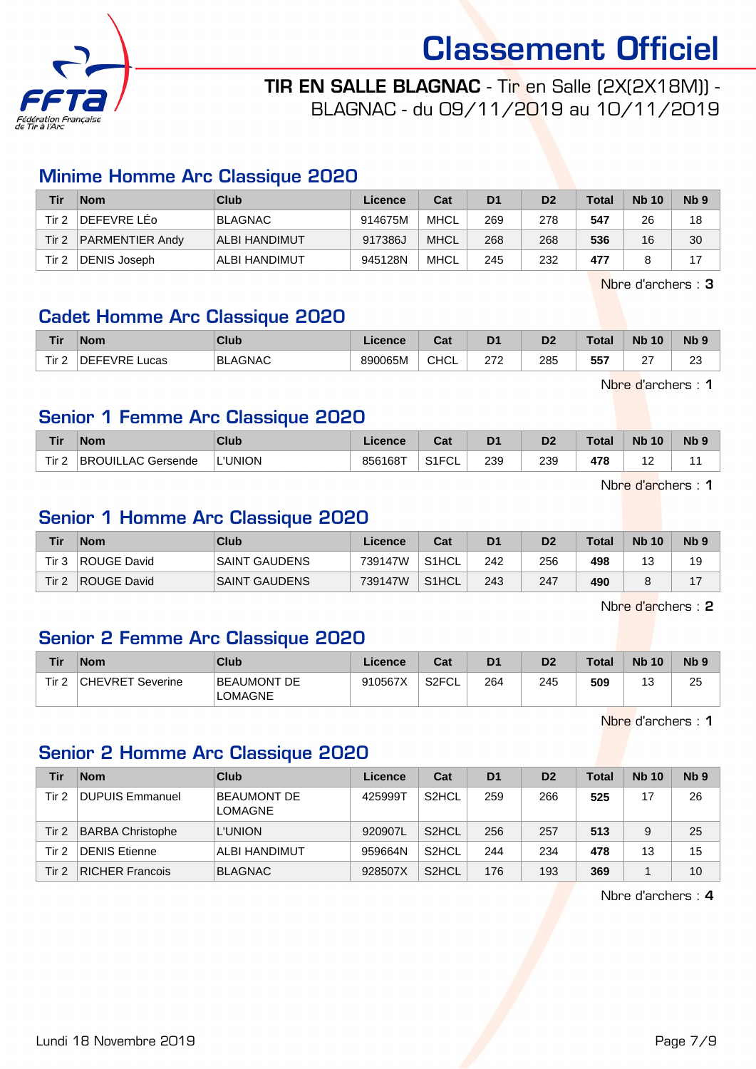

TIR EN SALLE BLAGNAC - Tir en Salle (2X(2X18M)) - BLAGNAC - du 09/11/2019 au 10/11/2019

### Minime Homme Arc Classique 2020

| Tir   | <b>Nom</b>             | Club           | Licence | Cat         | D <sub>1</sub> | D <sub>2</sub> | Total | <b>Nb 10</b> | N <sub>b</sub> <sub>9</sub> |
|-------|------------------------|----------------|---------|-------------|----------------|----------------|-------|--------------|-----------------------------|
| Tir 2 | DEFEVRE LEo            | <b>BLAGNAC</b> | 914675M | MHCL        | 269            | 278            | 547   | 26           | 18                          |
| Tir 2 | <b>PARMENTIER Andy</b> | ALBI HANDIMUT  | 917386J | <b>MHCL</b> | 268            | 268            | 536   | 16           | 30                          |
| Tir 2 | DENIS Joseph           | ALBI HANDIMUT  | 945128N | MHCL        | 245            | 232            | 477   |              |                             |

Nbre d'archers : 3

# Cadet Homme Arc Classique 2020

| <b>Tir</b>       | <b>Nom</b>       | Club           | icence  | $\sim$<br>va. | D <sub>1</sub> | D <sub>2</sub> | <b>Total</b> | <b>N<sub>b</sub></b><br>10 | <b>Nb</b>    |
|------------------|------------------|----------------|---------|---------------|----------------|----------------|--------------|----------------------------|--------------|
| Tir.<br><u>.</u> | NEEEVRE.<br>ucas | <b>BLAGNAC</b> | 890065M | <b>CHCL</b>   | 272<br>21 L    | 285<br>__      | 557          | $\sim$<br>-                | $\sim$<br>∠∪ |

Nbre d'archers : 1

# Senior 1 Femme Arc Classique 2020

| <b>Tir</b>       | <b>Nom</b>         | Club           | Licence | ົີີ່<br>uau          | D <sub>1</sub> | D <sub>2</sub> | $\tau$ otal | <b>N<sub>b</sub></b><br>10 | N <sub>b</sub> <sub>9</sub> |
|------------------|--------------------|----------------|---------|----------------------|----------------|----------------|-------------|----------------------------|-----------------------------|
| Tir <sub>2</sub> | BROUILLAC Gersende | <b>L'UNION</b> | 856168T | S1ET<br>∙u∟<br>ا ا ت | 239            | 239            | 478         | .                          |                             |

Nbre d'archers : 1

# Senior 1 Homme Arc Classique 2020

| Tir   | <b>Nom</b>  | Club                 | Licence | Cat                | D1  | D <sub>2</sub> | <b>Total</b> | <b>Nb 10</b>  | N <sub>b</sub> <sub>9</sub> |
|-------|-------------|----------------------|---------|--------------------|-----|----------------|--------------|---------------|-----------------------------|
| Tir 3 | ROUGE David | <b>SAINT GAUDENS</b> | 739147W | S <sub>1</sub> HCL | 242 | 256            | 498          | $\sim$<br>. ب | 19                          |
| Tir 2 | ROUGE David | <b>SAINT GAUDENS</b> | 739147W | S1HCL              | 243 | 247            | 490          |               |                             |

Nbre d'archers : 2

# Senior 2 Femme Arc Classique 2020

| Tir   | <b>Nom</b>              | Club                                 | Licence | Cat   | D <sub>1</sub> | D2  | <b>Total</b> | <b>Nb 10</b> | N <sub>b</sub> <sub>9</sub> |
|-------|-------------------------|--------------------------------------|---------|-------|----------------|-----|--------------|--------------|-----------------------------|
| Tir 2 | <b>CHEVRET Severine</b> | <b>BEAUMONT DE</b><br><b>LOMAGNE</b> | 910567X | S2FCL | 264            | 245 | 509          | ں ا          | 25                          |

Nbre d'archers : 1

# Senior 2 Homme Arc Classique 2020

| Tir   | <b>Nom</b>              | Club                                 | Licence | Cat                | D <sub>1</sub> | D <sub>2</sub> | <b>Total</b> | <b>Nb 10</b> | N <sub>b</sub> <sub>9</sub> |
|-------|-------------------------|--------------------------------------|---------|--------------------|----------------|----------------|--------------|--------------|-----------------------------|
| Tir 2 | <b>DUPUIS Emmanuel</b>  | <b>BEAUMONT DE</b><br><b>LOMAGNE</b> | 425999T | S <sub>2</sub> HCL | 259            | 266            | 525          | 17           | 26                          |
| Tir 2 | <b>BARBA Christophe</b> | <b>L'UNION</b>                       | 920907L | S <sub>2</sub> HCL | 256            | 257            | 513          |              | 25                          |
| Tir 2 | <b>DENIS Etienne</b>    | ALBI HANDIMUT                        | 959664N | S <sub>2</sub> HCL | 244            | 234            | 478          | 13           | 15                          |
| Tir 2 | <b>RICHER Francois</b>  | BLAGNAC                              | 928507X | S <sub>2</sub> HCL | 176            | 193            | 369          |              | 10                          |

Nbre d'archers : 4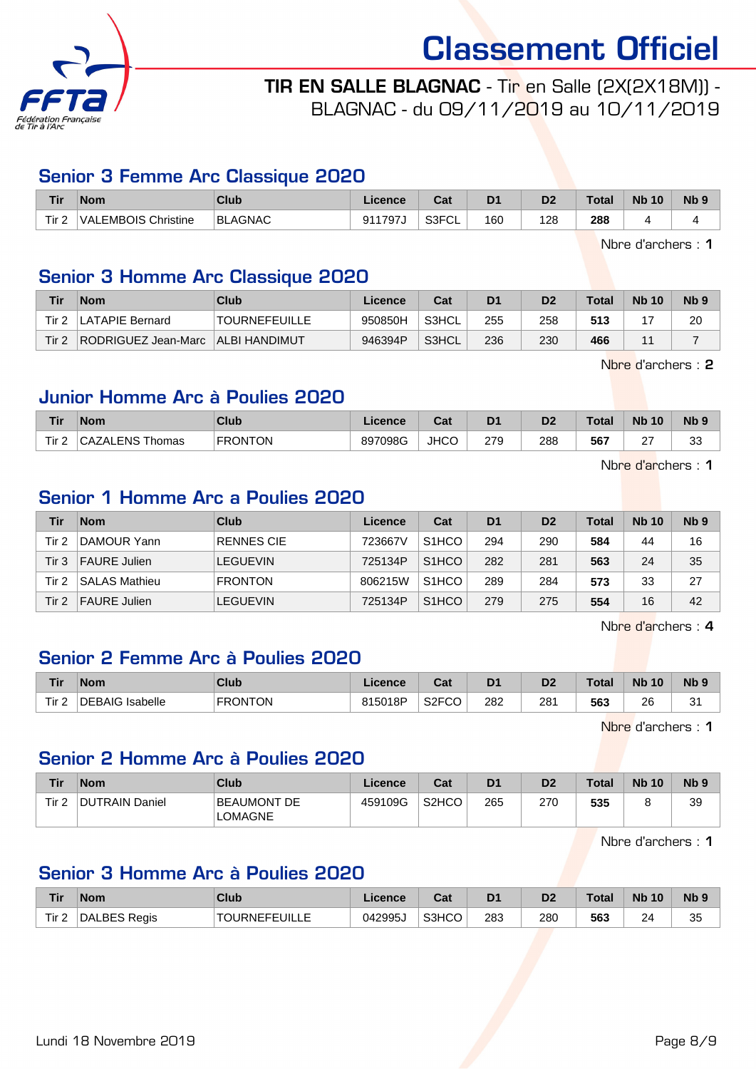

# TIR EN SALLE BLAGNAC - Tir en Salle (2X(2X18M)) - BLAGNAC - du 09/11/2019 au 10/11/2019

#### Senior 3 Femme Arc Classique 2020

| Tir                          | Nom                 | Club           | Licence                           | ו ה<br>ua   | D <sub>1</sub> | D <sub>2</sub> | Total       | <b>N<sub>b</sub></b><br>10 | <b>N<sub>b</sub></b> |
|------------------------------|---------------------|----------------|-----------------------------------|-------------|----------------|----------------|-------------|----------------------------|----------------------|
| Tir <sub>2</sub><br><u>.</u> | VALEMBOIS Christine | <b>BLAGNAC</b> | $\sim$ $\sim$ $\sim$ $\sim$<br>91 | S3FCL<br>◡∟ | 160            | 128            | 288<br>$ -$ |                            |                      |

Nbre d'archers : 1

# Senior 3 Homme Arc Classique 2020

| Tir   | <b>Nom</b>          | Club                 | Licence | Cat   | D1  | D2  | $\tau$ otal | <b>Nb 10</b> | N <sub>b</sub> <sub>9</sub> |
|-------|---------------------|----------------------|---------|-------|-----|-----|-------------|--------------|-----------------------------|
| Tir ∠ | LATAPIE Bernard     | 'TOURNEFEUILLE       | 950850H | S3HCL | 255 | 258 | 513         |              | 20                          |
| Tir 2 | RODRIGUEZ Jean-Marc | <b>ALBI HANDIMUT</b> | 946394P | S3HCL | 236 | 230 | 466         | и.           |                             |

Nbre d'archers : 2

#### Junior Homme Arc à Poulies 2020

| <b>Tir</b> | <b>Nom</b>                   | Club           | <b>Licence</b> | $R_{\rm{eff}}$<br>⊍⊌ | D <sub>1</sub> | D2  | Total | <b>N<sub>b</sub></b><br>10 | N <sub>b</sub> |
|------------|------------------------------|----------------|----------------|----------------------|----------------|-----|-------|----------------------------|----------------|
| Tir.<br>-  | <b>\ZALENS Thomas</b><br>◡ж∠ | <b>FRONTON</b> | 897098G        | <b>JHCC</b>          | 279            | 288 | 567   | $\sim$<br>$\epsilon$       | $\sim$<br>ິ    |

Nbre d'archers : 1

# Senior 1 Homme Arc a Poulies 2020

| Tir   | <b>Nom</b>           | Club              | Licence | Cat                | D <sub>1</sub> | D <sub>2</sub> | Total | <b>Nb 10</b> | Nb <sub>9</sub> |
|-------|----------------------|-------------------|---------|--------------------|----------------|----------------|-------|--------------|-----------------|
| Tir 2 | DAMOUR Yann          | <b>RENNES CIE</b> | 723667V | S <sub>1</sub> HCO | 294            | 290            | 584   | 44           | 16              |
| Tir 3 | <b>FAURE Julien</b>  | <b>LEGUEVIN</b>   | 725134P | S <sub>1</sub> HCO | 282            | 281            | 563   | 24           | 35              |
| Tir 2 | <b>SALAS Mathieu</b> | <b>FRONTON</b>    | 806215W | S <sub>1</sub> HCO | 289            | 284            | 573   | 33           | 27              |
| Tir 2 | <b>FAURE Julien</b>  | <b>LEGUEVIN</b>   | 725134P | S <sub>1</sub> HCO | 279            | 275            | 554   | 16           | 42              |

Nbre d'archers : 4

# Senior 2 Femme Arc à Poulies 2020

| Tir  | <b>Nom</b>             | <b>Club</b>    | icence  | $\sim$<br>⊍d            | D <sub>1</sub> | D <sub>2</sub>        | Total | <b>Nb</b><br>10 | N <sub>b</sub> <sub>9</sub> |
|------|------------------------|----------------|---------|-------------------------|----------------|-----------------------|-------|-----------------|-----------------------------|
| Tir. | <b>DEBAIG</b> Isabelle | <b>FRONTON</b> | 815018P | S <sub>2</sub> FCC<br>∾ | 282<br>____    | 28 <sup>′</sup><br>__ | 563   | 26<br>__        | c.<br>ا ب                   |

Nbre d'archers : 1

# Senior 2 Homme Arc à Poulies 2020

| Tir              | <b>Nom</b>     | Club                                 | Licence | Cat                            | D <sub>1</sub> | D <sub>2</sub> | <b>Total</b> | <b>Nb 10</b> | N <sub>b</sub> <sub>9</sub> |
|------------------|----------------|--------------------------------------|---------|--------------------------------|----------------|----------------|--------------|--------------|-----------------------------|
| Tir <sub>2</sub> | DUTRAIN Daniel | <b>BEAUMONT DE</b><br><b>LOMAGNE</b> | 459109G | S <sub>2</sub> H <sub>CO</sub> | 265            | 270            | 535          |              | 39                          |

Nbre d'archers : 1

# Senior 3 Homme Arc à Poulies 2020

| Tir   | <b>Nom</b>          | <b>Club</b>          | Licence | ่ ี่ ี่ ่า ่<br>⊍d | D <sub>1</sub> | D <sub>2</sub> | <b>Total</b> | <b>Nb 10</b> | Nb <sub>s</sub> |
|-------|---------------------|----------------------|---------|--------------------|----------------|----------------|--------------|--------------|-----------------|
| Tir 2 | <b>DALBES Regis</b> | <b>TOURNEFEUILLE</b> | 042995J | S3HCO              | 283            | 280            | 563          | 24           | つに<br>ິ         |